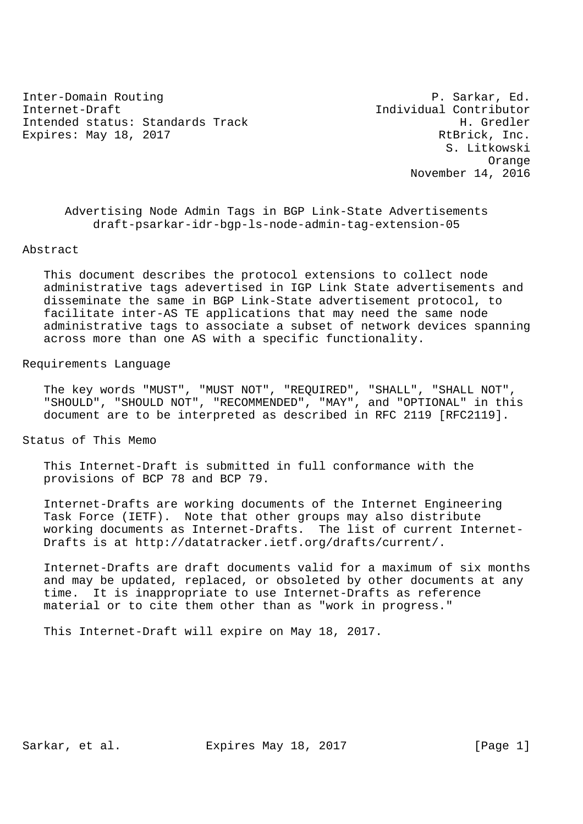Inter-Domain Routing **P. Sarkar, Ed.** Internet-Draft Individual Contributor Intended status: Standards Track H. Gredler Expires: May 18, 2017 The Contract of the Russian RtBrick, Inc.

 S. Litkowski Orange November 14, 2016

 Advertising Node Admin Tags in BGP Link-State Advertisements draft-psarkar-idr-bgp-ls-node-admin-tag-extension-05

#### Abstract

 This document describes the protocol extensions to collect node administrative tags adevertised in IGP Link State advertisements and disseminate the same in BGP Link-State advertisement protocol, to facilitate inter-AS TE applications that may need the same node administrative tags to associate a subset of network devices spanning across more than one AS with a specific functionality.

#### Requirements Language

 The key words "MUST", "MUST NOT", "REQUIRED", "SHALL", "SHALL NOT", "SHOULD", "SHOULD NOT", "RECOMMENDED", "MAY", and "OPTIONAL" in this document are to be interpreted as described in RFC 2119 [RFC2119].

Status of This Memo

 This Internet-Draft is submitted in full conformance with the provisions of BCP 78 and BCP 79.

 Internet-Drafts are working documents of the Internet Engineering Task Force (IETF). Note that other groups may also distribute working documents as Internet-Drafts. The list of current Internet- Drafts is at http://datatracker.ietf.org/drafts/current/.

 Internet-Drafts are draft documents valid for a maximum of six months and may be updated, replaced, or obsoleted by other documents at any time. It is inappropriate to use Internet-Drafts as reference material or to cite them other than as "work in progress."

This Internet-Draft will expire on May 18, 2017.

Sarkar, et al. Expires May 18, 2017 [Page 1]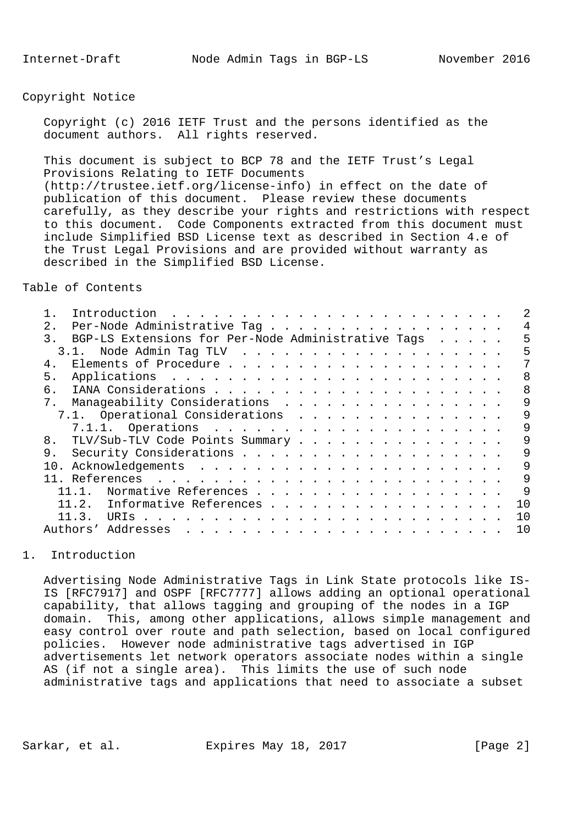### Copyright Notice

 Copyright (c) 2016 IETF Trust and the persons identified as the document authors. All rights reserved.

 This document is subject to BCP 78 and the IETF Trust's Legal Provisions Relating to IETF Documents (http://trustee.ietf.org/license-info) in effect on the date of publication of this document. Please review these documents carefully, as they describe your rights and restrictions with respect to this document. Code Components extracted from this document must include Simplified BSD License text as described in Section 4.e of the Trust Legal Provisions and are provided without warranty as described in the Simplified BSD License.

Table of Contents

| 2 <sub>1</sub><br>Per-Node Administrative Tag                                                                                                                                                                                                           |     |
|---------------------------------------------------------------------------------------------------------------------------------------------------------------------------------------------------------------------------------------------------------|-----|
| BGP-LS Extensions for Per-Node Administrative Tags<br>$\mathcal{R}$                                                                                                                                                                                     | 5   |
| 3.1.                                                                                                                                                                                                                                                    | 5   |
| 4.                                                                                                                                                                                                                                                      |     |
| 5.                                                                                                                                                                                                                                                      | 8   |
| б.                                                                                                                                                                                                                                                      | 8   |
| Manageability Considerations<br>7.                                                                                                                                                                                                                      | 9   |
| 7.1. Operational Considerations                                                                                                                                                                                                                         | 9   |
|                                                                                                                                                                                                                                                         | 9   |
| 8.<br>TLV/Sub-TLV Code Points Summary                                                                                                                                                                                                                   | 9   |
| 9.                                                                                                                                                                                                                                                      | 9   |
| 10.                                                                                                                                                                                                                                                     | 9   |
|                                                                                                                                                                                                                                                         | 9   |
| Normative References                                                                                                                                                                                                                                    | 9   |
| Informative References<br>11.2.                                                                                                                                                                                                                         | 1 O |
| 11.3.                                                                                                                                                                                                                                                   | 1 O |
| Authors' Addresses<br>$\mathbf{1}$ , and a set of the set of the set of the set of the set of the set of the set of the set of the set of the set of the set of the set of the set of the set of the set of the set of the set of the set of the set of | 1 O |
|                                                                                                                                                                                                                                                         |     |

# 1. Introduction

 Advertising Node Administrative Tags in Link State protocols like IS- IS [RFC7917] and OSPF [RFC7777] allows adding an optional operational capability, that allows tagging and grouping of the nodes in a IGP domain. This, among other applications, allows simple management and easy control over route and path selection, based on local configured policies. However node administrative tags advertised in IGP advertisements let network operators associate nodes within a single AS (if not a single area). This limits the use of such node administrative tags and applications that need to associate a subset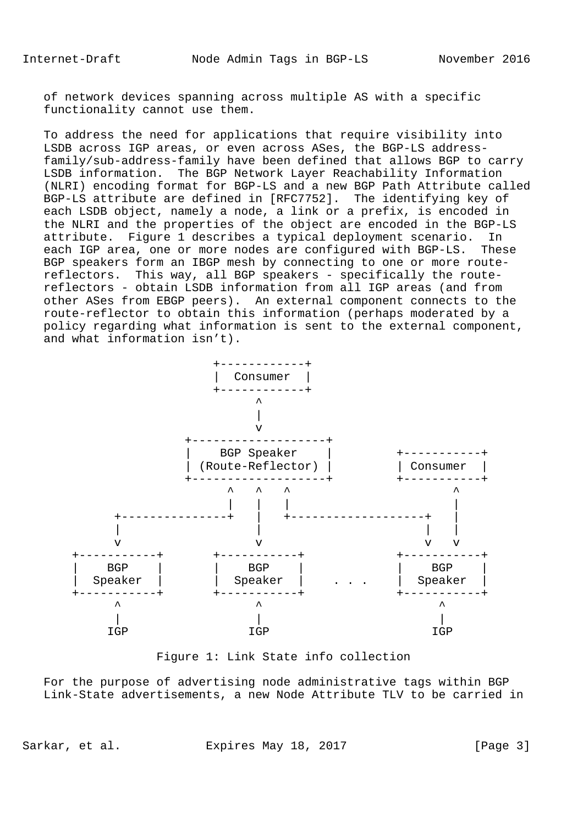of network devices spanning across multiple AS with a specific functionality cannot use them.

 To address the need for applications that require visibility into LSDB across IGP areas, or even across ASes, the BGP-LS address family/sub-address-family have been defined that allows BGP to carry LSDB information. The BGP Network Layer Reachability Information (NLRI) encoding format for BGP-LS and a new BGP Path Attribute called BGP-LS attribute are defined in [RFC7752]. The identifying key of each LSDB object, namely a node, a link or a prefix, is encoded in the NLRI and the properties of the object are encoded in the BGP-LS attribute. Figure 1 describes a typical deployment scenario. In each IGP area, one or more nodes are configured with BGP-LS. These BGP speakers form an IBGP mesh by connecting to one or more route reflectors. This way, all BGP speakers - specifically the route reflectors - obtain LSDB information from all IGP areas (and from other ASes from EBGP peers). An external component connects to the route-reflector to obtain this information (perhaps moderated by a policy regarding what information is sent to the external component, and what information isn't).



Figure 1: Link State info collection

 For the purpose of advertising node administrative tags within BGP Link-State advertisements, a new Node Attribute TLV to be carried in

Sarkar, et al. Expires May 18, 2017 [Page 3]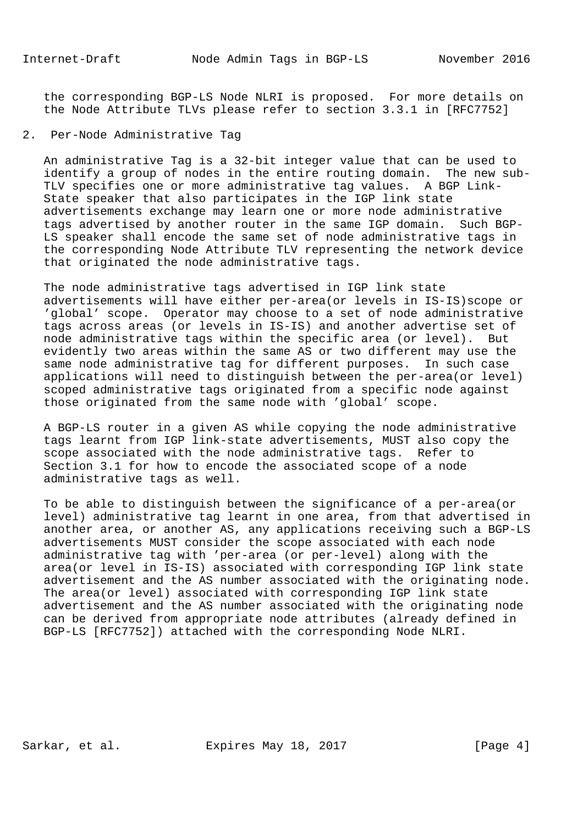the corresponding BGP-LS Node NLRI is proposed. For more details on the Node Attribute TLVs please refer to section 3.3.1 in [RFC7752]

# 2. Per-Node Administrative Tag

 An administrative Tag is a 32-bit integer value that can be used to identify a group of nodes in the entire routing domain. The new sub- TLV specifies one or more administrative tag values. A BGP Link- State speaker that also participates in the IGP link state advertisements exchange may learn one or more node administrative tags advertised by another router in the same IGP domain. Such BGP- LS speaker shall encode the same set of node administrative tags in the corresponding Node Attribute TLV representing the network device that originated the node administrative tags.

 The node administrative tags advertised in IGP link state advertisements will have either per-area(or levels in IS-IS)scope or 'global' scope. Operator may choose to a set of node administrative tags across areas (or levels in IS-IS) and another advertise set of node administrative tags within the specific area (or level). But evidently two areas within the same AS or two different may use the same node administrative tag for different purposes. In such case applications will need to distinguish between the per-area(or level) scoped administrative tags originated from a specific node against those originated from the same node with 'global' scope.

 A BGP-LS router in a given AS while copying the node administrative tags learnt from IGP link-state advertisements, MUST also copy the scope associated with the node administrative tags. Refer to Section 3.1 for how to encode the associated scope of a node administrative tags as well.

 To be able to distinguish between the significance of a per-area(or level) administrative tag learnt in one area, from that advertised in another area, or another AS, any applications receiving such a BGP-LS advertisements MUST consider the scope associated with each node administrative tag with 'per-area (or per-level) along with the area(or level in IS-IS) associated with corresponding IGP link state advertisement and the AS number associated with the originating node. The area(or level) associated with corresponding IGP link state advertisement and the AS number associated with the originating node can be derived from appropriate node attributes (already defined in BGP-LS [RFC7752]) attached with the corresponding Node NLRI.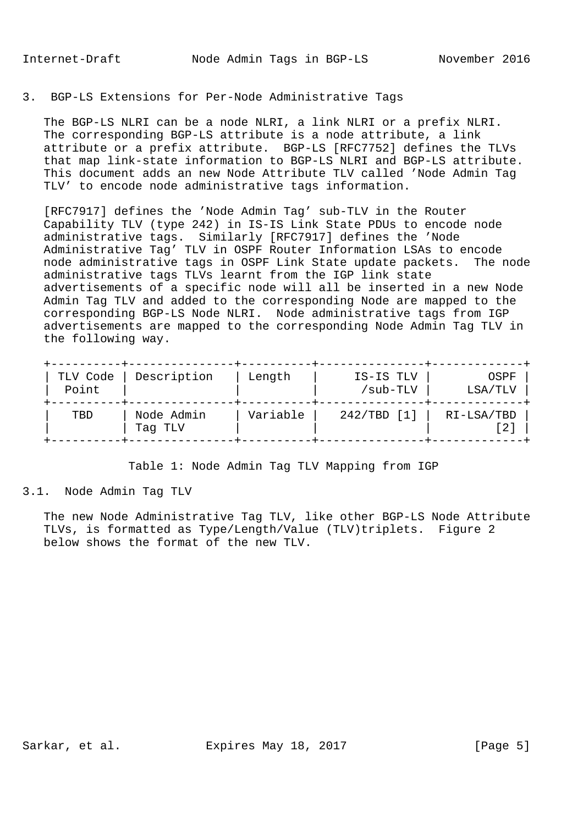## 3. BGP-LS Extensions for Per-Node Administrative Tags

 The BGP-LS NLRI can be a node NLRI, a link NLRI or a prefix NLRI. The corresponding BGP-LS attribute is a node attribute, a link attribute or a prefix attribute. BGP-LS [RFC7752] defines the TLVs that map link-state information to BGP-LS NLRI and BGP-LS attribute. This document adds an new Node Attribute TLV called 'Node Admin Tag TLV' to encode node administrative tags information.

 [RFC7917] defines the 'Node Admin Tag' sub-TLV in the Router Capability TLV (type 242) in IS-IS Link State PDUs to encode node administrative tags. Similarly [RFC7917] defines the 'Node Administrative Tag' TLV in OSPF Router Information LSAs to encode node administrative tags in OSPF Link State update packets. The node administrative tags TLVs learnt from the IGP link state advertisements of a specific node will all be inserted in a new Node Admin Tag TLV and added to the corresponding Node are mapped to the corresponding BGP-LS Node NLRI. Node administrative tags from IGP advertisements are mapped to the corresponding Node Admin Tag TLV in the following way.

| TLV Code<br>Point | Description           | Length   | IS-IS TLV<br>/sub-TLV | OSPF<br>LSA/TLV |
|-------------------|-----------------------|----------|-----------------------|-----------------|
| TBD               | Node Admin<br>Tag TLV | Variable | $242/TBD$ [1]         | RI-LSA/TBD      |

Table 1: Node Admin Tag TLV Mapping from IGP

3.1. Node Admin Tag TLV

 The new Node Administrative Tag TLV, like other BGP-LS Node Attribute TLVs, is formatted as Type/Length/Value (TLV)triplets. Figure 2 below shows the format of the new TLV.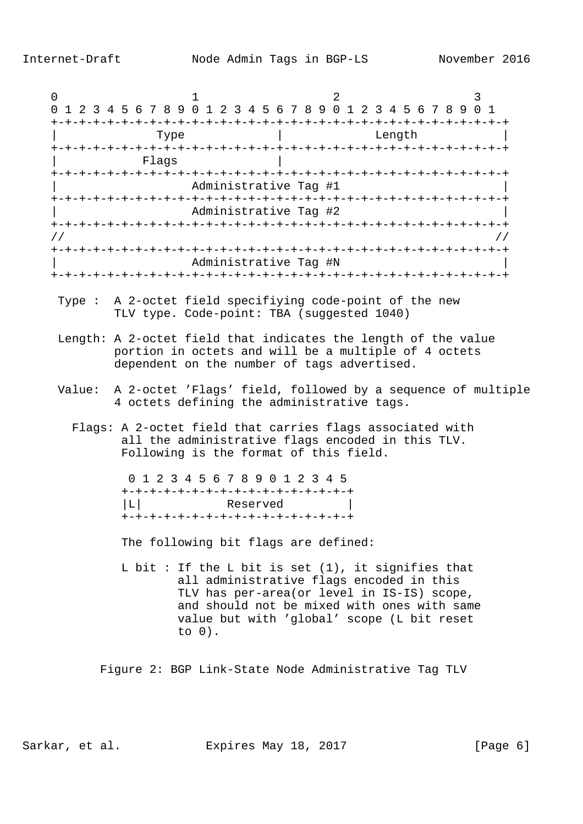| 0             | 2<br>3<br>0 1 2 3 4 5 6 7 8 9 0 1 2 3 4 5 6 7 8 9 0 1 2 3 4 5 6 7 8 9 0 1                                                                                                                                                                                 |
|---------------|-----------------------------------------------------------------------------------------------------------------------------------------------------------------------------------------------------------------------------------------------------------|
|               | Type<br>Length                                                                                                                                                                                                                                            |
|               | Flags                                                                                                                                                                                                                                                     |
|               | Administrative Tag #1                                                                                                                                                                                                                                     |
|               | Administrative Tag #2                                                                                                                                                                                                                                     |
| $\frac{1}{2}$ | $\frac{1}{2}$                                                                                                                                                                                                                                             |
|               | Administrative Tag #N                                                                                                                                                                                                                                     |
|               | Type : A 2-octet field specifiying code-point of the new<br>TLV type. Code-point: TBA (suggested 1040)                                                                                                                                                    |
|               | Length: A 2-octet field that indicates the length of the value<br>portion in octets and will be a multiple of 4 octets<br>dependent on the number of tags advertised.                                                                                     |
|               | Value: A 2-octet 'Flags' field, followed by a sequence of multiple<br>4 octets defining the administrative tags.                                                                                                                                          |
|               | Flags: A 2-octet field that carries flags associated with<br>all the administrative flags encoded in this TLV.<br>Following is the format of this field.                                                                                                  |
|               | 0 1 2 3 4 5 6 7 8 9 0 1 2 3 4 5<br>+-+-+-+-+-+-+-+-+-+-+-+-+-+-+-+-+-+<br> L <br>Reserved<br>+-+-+-+-+-+-+-+-+-+-+-+-+-+-+-+-+                                                                                                                            |
|               | The following bit flags are defined:                                                                                                                                                                                                                      |
|               | L bit : If the L bit is set $(1)$ , it signifies that<br>all administrative flags encoded in this<br>TLV has per-area(or level in IS-IS) scope,<br>and should not be mixed with ones with same<br>value but with 'global' scope (L bit reset<br>to $0)$ . |
|               |                                                                                                                                                                                                                                                           |

Sarkar, et al. Expires May 18, 2017 [Page 6]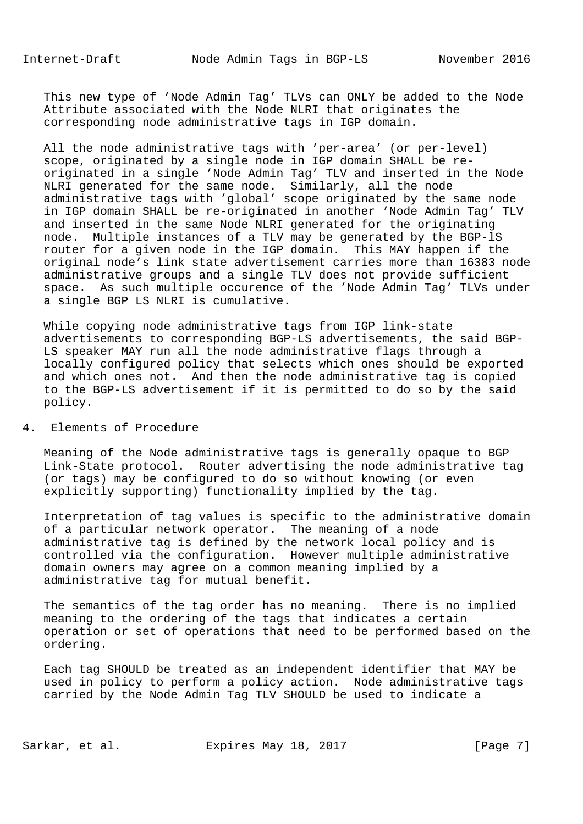This new type of 'Node Admin Tag' TLVs can ONLY be added to the Node Attribute associated with the Node NLRI that originates the corresponding node administrative tags in IGP domain.

 All the node administrative tags with 'per-area' (or per-level) scope, originated by a single node in IGP domain SHALL be re originated in a single 'Node Admin Tag' TLV and inserted in the Node NLRI generated for the same node. Similarly, all the node administrative tags with 'global' scope originated by the same node in IGP domain SHALL be re-originated in another 'Node Admin Tag' TLV and inserted in the same Node NLRI generated for the originating node. Multiple instances of a TLV may be generated by the BGP-lS router for a given node in the IGP domain. This MAY happen if the original node's link state advertisement carries more than 16383 node administrative groups and a single TLV does not provide sufficient space. As such multiple occurence of the 'Node Admin Tag' TLVs under a single BGP LS NLRI is cumulative.

 While copying node administrative tags from IGP link-state advertisements to corresponding BGP-LS advertisements, the said BGP- LS speaker MAY run all the node administrative flags through a locally configured policy that selects which ones should be exported and which ones not. And then the node administrative tag is copied to the BGP-LS advertisement if it is permitted to do so by the said policy.

# 4. Elements of Procedure

 Meaning of the Node administrative tags is generally opaque to BGP Link-State protocol. Router advertising the node administrative tag (or tags) may be configured to do so without knowing (or even explicitly supporting) functionality implied by the tag.

 Interpretation of tag values is specific to the administrative domain of a particular network operator. The meaning of a node administrative tag is defined by the network local policy and is controlled via the configuration. However multiple administrative domain owners may agree on a common meaning implied by a administrative tag for mutual benefit.

 The semantics of the tag order has no meaning. There is no implied meaning to the ordering of the tags that indicates a certain operation or set of operations that need to be performed based on the ordering.

 Each tag SHOULD be treated as an independent identifier that MAY be used in policy to perform a policy action. Node administrative tags carried by the Node Admin Tag TLV SHOULD be used to indicate a

Sarkar, et al. Expires May 18, 2017 [Page 7]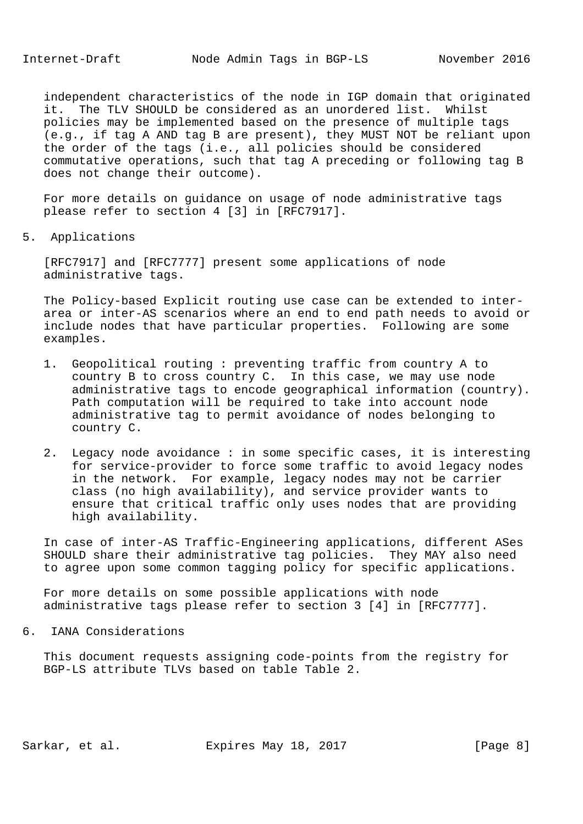independent characteristics of the node in IGP domain that originated it. The TLV SHOULD be considered as an unordered list. Whilst policies may be implemented based on the presence of multiple tags (e.g., if tag A AND tag B are present), they MUST NOT be reliant upon the order of the tags (i.e., all policies should be considered commutative operations, such that tag A preceding or following tag B does not change their outcome).

 For more details on guidance on usage of node administrative tags please refer to section 4 [3] in [RFC7917].

5. Applications

 [RFC7917] and [RFC7777] present some applications of node administrative tags.

 The Policy-based Explicit routing use case can be extended to inter area or inter-AS scenarios where an end to end path needs to avoid or include nodes that have particular properties. Following are some examples.

- 1. Geopolitical routing : preventing traffic from country A to country B to cross country C. In this case, we may use node administrative tags to encode geographical information (country). Path computation will be required to take into account node administrative tag to permit avoidance of nodes belonging to country C.
- 2. Legacy node avoidance : in some specific cases, it is interesting for service-provider to force some traffic to avoid legacy nodes in the network. For example, legacy nodes may not be carrier class (no high availability), and service provider wants to ensure that critical traffic only uses nodes that are providing high availability.

 In case of inter-AS Traffic-Engineering applications, different ASes SHOULD share their administrative tag policies. They MAY also need to agree upon some common tagging policy for specific applications.

 For more details on some possible applications with node administrative tags please refer to section 3 [4] in [RFC7777].

6. IANA Considerations

 This document requests assigning code-points from the registry for BGP-LS attribute TLVs based on table Table 2.

Sarkar, et al. Expires May 18, 2017 [Page 8]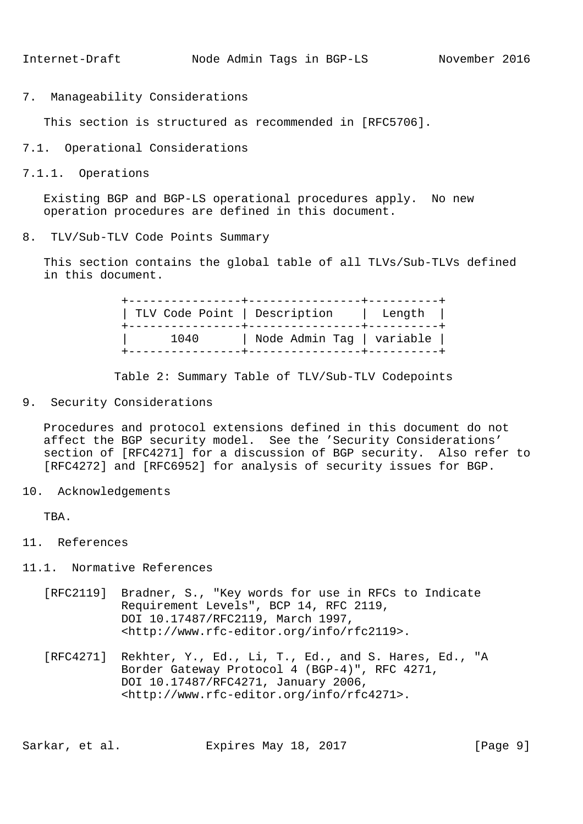7. Manageability Considerations

This section is structured as recommended in [RFC5706].

- 7.1. Operational Considerations
- 7.1.1. Operations

 Existing BGP and BGP-LS operational procedures apply. No new operation procedures are defined in this document.

8. TLV/Sub-TLV Code Points Summary

 This section contains the global table of all TLVs/Sub-TLVs defined in this document.

> +----------------+----------------+----------+ | TLV Code Point | Description | Length | +----------------+----------------+----------+ | 1040 | Node Admin Tag | variable | +----------------+----------------+----------+

Table 2: Summary Table of TLV/Sub-TLV Codepoints

9. Security Considerations

 Procedures and protocol extensions defined in this document do not affect the BGP security model. See the 'Security Considerations' section of [RFC4271] for a discussion of BGP security. Also refer to [RFC4272] and [RFC6952] for analysis of security issues for BGP.

10. Acknowledgements

TBA.

- 11. References
- 11.1. Normative References
	- [RFC2119] Bradner, S., "Key words for use in RFCs to Indicate Requirement Levels", BCP 14, RFC 2119, DOI 10.17487/RFC2119, March 1997, <http://www.rfc-editor.org/info/rfc2119>.
	- [RFC4271] Rekhter, Y., Ed., Li, T., Ed., and S. Hares, Ed., "A Border Gateway Protocol 4 (BGP-4)", RFC 4271, DOI 10.17487/RFC4271, January 2006, <http://www.rfc-editor.org/info/rfc4271>.

Sarkar, et al. Expires May 18, 2017 [Page 9]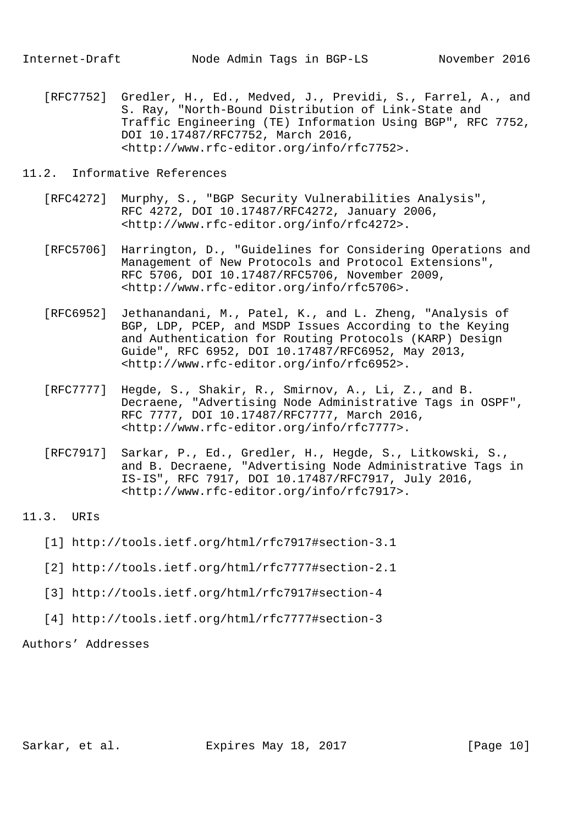[RFC7752] Gredler, H., Ed., Medved, J., Previdi, S., Farrel, A., and S. Ray, "North-Bound Distribution of Link-State and Traffic Engineering (TE) Information Using BGP", RFC 7752, DOI 10.17487/RFC7752, March 2016, <http://www.rfc-editor.org/info/rfc7752>.

### 11.2. Informative References

- [RFC4272] Murphy, S., "BGP Security Vulnerabilities Analysis", RFC 4272, DOI 10.17487/RFC4272, January 2006, <http://www.rfc-editor.org/info/rfc4272>.
- [RFC5706] Harrington, D., "Guidelines for Considering Operations and Management of New Protocols and Protocol Extensions", RFC 5706, DOI 10.17487/RFC5706, November 2009, <http://www.rfc-editor.org/info/rfc5706>.
- [RFC6952] Jethanandani, M., Patel, K., and L. Zheng, "Analysis of BGP, LDP, PCEP, and MSDP Issues According to the Keying and Authentication for Routing Protocols (KARP) Design Guide", RFC 6952, DOI 10.17487/RFC6952, May 2013, <http://www.rfc-editor.org/info/rfc6952>.
- [RFC7777] Hegde, S., Shakir, R., Smirnov, A., Li, Z., and B. Decraene, "Advertising Node Administrative Tags in OSPF", RFC 7777, DOI 10.17487/RFC7777, March 2016, <http://www.rfc-editor.org/info/rfc7777>.
- [RFC7917] Sarkar, P., Ed., Gredler, H., Hegde, S., Litkowski, S., and B. Decraene, "Advertising Node Administrative Tags in IS-IS", RFC 7917, DOI 10.17487/RFC7917, July 2016, <http://www.rfc-editor.org/info/rfc7917>.

#### 11.3. URIs

- [1] http://tools.ietf.org/html/rfc7917#section-3.1
- [2] http://tools.ietf.org/html/rfc7777#section-2.1
- [3] http://tools.ietf.org/html/rfc7917#section-4
- [4] http://tools.ietf.org/html/rfc7777#section-3

#### Authors' Addresses